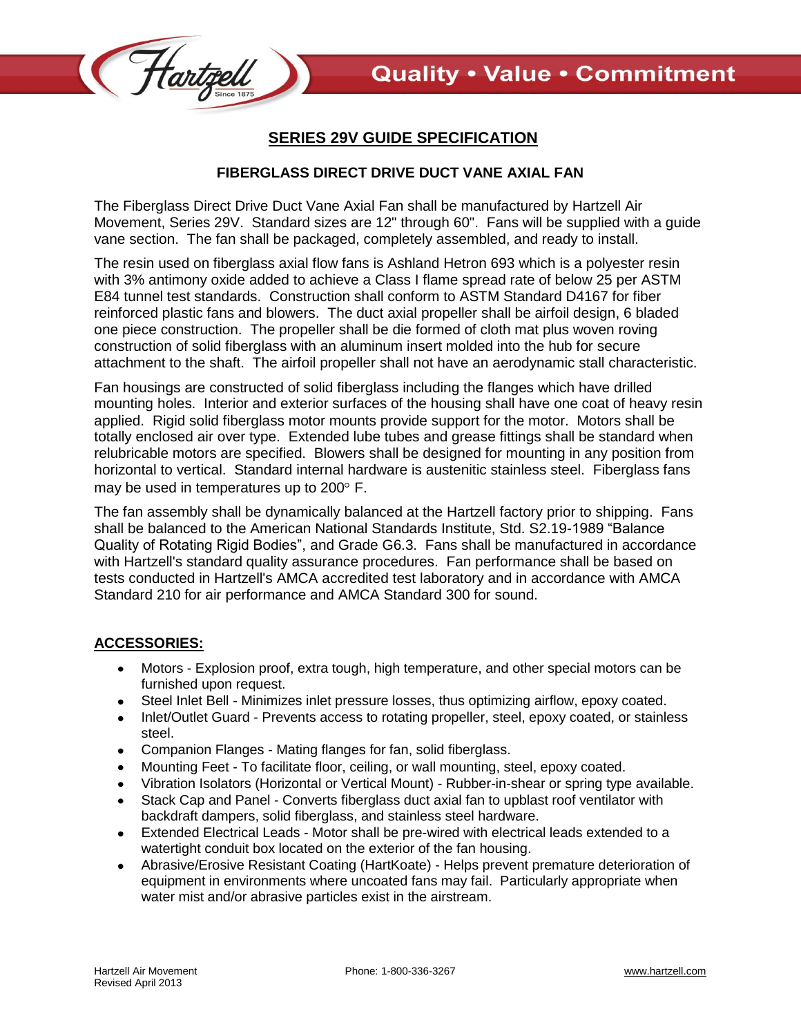

## **SERIES 29V GUIDE SPECIFICATION**

## **FIBERGLASS DIRECT DRIVE DUCT VANE AXIAL FAN**

The Fiberglass Direct Drive Duct Vane Axial Fan shall be manufactured by Hartzell Air Movement, Series 29V. Standard sizes are 12" through 60". Fans will be supplied with a guide vane section. The fan shall be packaged, completely assembled, and ready to install.

The resin used on fiberglass axial flow fans is Ashland Hetron 693 which is a polyester resin with 3% antimony oxide added to achieve a Class I flame spread rate of below 25 per ASTM E84 tunnel test standards. Construction shall conform to ASTM Standard D4167 for fiber reinforced plastic fans and blowers. The duct axial propeller shall be airfoil design, 6 bladed one piece construction. The propeller shall be die formed of cloth mat plus woven roving construction of solid fiberglass with an aluminum insert molded into the hub for secure attachment to the shaft. The airfoil propeller shall not have an aerodynamic stall characteristic.

Fan housings are constructed of solid fiberglass including the flanges which have drilled mounting holes. Interior and exterior surfaces of the housing shall have one coat of heavy resin applied. Rigid solid fiberglass motor mounts provide support for the motor. Motors shall be totally enclosed air over type. Extended lube tubes and grease fittings shall be standard when relubricable motors are specified. Blowers shall be designed for mounting in any position from horizontal to vertical. Standard internal hardware is austenitic stainless steel. Fiberglass fans may be used in temperatures up to  $200^\circ$  F.

The fan assembly shall be dynamically balanced at the Hartzell factory prior to shipping. Fans shall be balanced to the American National Standards Institute, Std. S2.19-1989 "Balance Quality of Rotating Rigid Bodies", and Grade G6.3. Fans shall be manufactured in accordance with Hartzell's standard quality assurance procedures. Fan performance shall be based on tests conducted in Hartzell's AMCA accredited test laboratory and in accordance with AMCA Standard 210 for air performance and AMCA Standard 300 for sound.

## **ACCESSORIES:**

- Motors Explosion proof, extra tough, high temperature, and other special motors can be  $\bullet$ furnished upon request.
- Steel Inlet Bell Minimizes inlet pressure losses, thus optimizing airflow, epoxy coated.  $\bullet$
- Inlet/Outlet Guard Prevents access to rotating propeller, steel, epoxy coated, or stainless steel.
- Companion Flanges Mating flanges for fan, solid fiberglass.
- Mounting Feet To facilitate floor, ceiling, or wall mounting, steel, epoxy coated.  $\bullet$
- Vibration Isolators (Horizontal or Vertical Mount) Rubber-in-shear or spring type available.
- Stack Cap and Panel Converts fiberglass duct axial fan to upblast roof ventilator with backdraft dampers, solid fiberglass, and stainless steel hardware.
- Extended Electrical Leads Motor shall be pre-wired with electrical leads extended to a  $\bullet$ watertight conduit box located on the exterior of the fan housing.
- Abrasive/Erosive Resistant Coating (HartKoate) Helps prevent premature deterioration of equipment in environments where uncoated fans may fail. Particularly appropriate when water mist and/or abrasive particles exist in the airstream.